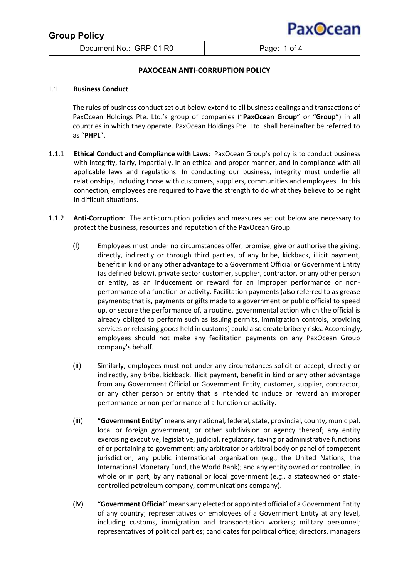## **Group Policy**

Document No.: GRP-01 R0 Page: 1 of 4

Pax**O**cear

### **PAXOCEAN ANTI-CORRUPTION POLICY**

#### 1.1 **Business Conduct**

The rules of business conduct set out below extend to all business dealings and transactions of PaxOcean Holdings Pte. Ltd.'s group of companies ("**PaxOcean Group**" or "**Group**") in all countries in which they operate. PaxOcean Holdings Pte. Ltd. shall hereinafter be referred to as "**PHPL**".

- 1.1.1 **Ethical Conduct and Compliance with Laws**: PaxOcean Group's policy is to conduct business with integrity, fairly, impartially, in an ethical and proper manner, and in compliance with all applicable laws and regulations. In conducting our business, integrity must underlie all relationships, including those with customers, suppliers, communities and employees. In this connection, employees are required to have the strength to do what they believe to be right in difficult situations.
- 1.1.2 **Anti-Corruption**: The anti-corruption policies and measures set out below are necessary to protect the business, resources and reputation of the PaxOcean Group.
	- (i) Employees must under no circumstances offer, promise, give or authorise the giving, directly, indirectly or through third parties, of any bribe, kickback, illicit payment, benefit in kind or any other advantage to a Government Official or Government Entity (as defined below), private sector customer, supplier, contractor, or any other person or entity, as an inducement or reward for an improper performance or nonperformance of a function or activity. Facilitation payments (also referred to as grease payments; that is, payments or gifts made to a government or public official to speed up, or secure the performance of, a routine, governmental action which the official is already obliged to perform such as issuing permits, immigration controls, providing services or releasing goods held in customs) could also create bribery risks. Accordingly, employees should not make any facilitation payments on any PaxOcean Group company's behalf.
	- (ii) Similarly, employees must not under any circumstances solicit or accept, directly or indirectly, any bribe, kickback, illicit payment, benefit in kind or any other advantage from any Government Official or Government Entity, customer, supplier, contractor, or any other person or entity that is intended to induce or reward an improper performance or non-performance of a function or activity.
	- (iii) "**Government Entity**" means any national, federal, state, provincial, county, municipal, local or foreign government, or other subdivision or agency thereof; any entity exercising executive, legislative, judicial, regulatory, taxing or administrative functions of or pertaining to government; any arbitrator or arbitral body or panel of competent jurisdiction; any public international organization (e.g., the United Nations, the International Monetary Fund, the World Bank); and any entity owned or controlled, in whole or in part, by any national or local government (e.g., a stateowned or statecontrolled petroleum company, communications company).
	- (iv) "**Government Official**" means any elected or appointed official of a Government Entity of any country; representatives or employees of a Government Entity at any level, including customs, immigration and transportation workers; military personnel; representatives of political parties; candidates for political office; directors, managers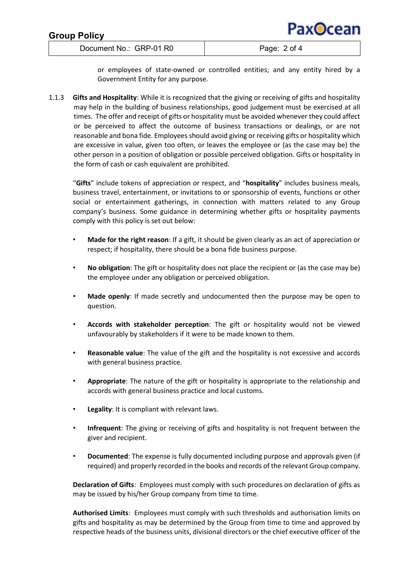| <b>Group Policy</b>     | PaxOcean       |
|-------------------------|----------------|
| Document No.: GRP-01 R0 | Page: $2$ of 4 |

or employees of state-owned or controlled entities; and any entity hired by a Government Entity for any purpose.

1.1.3 **Gifts and Hospitality**: While it is recognized that the giving or receiving of gifts and hospitality may help in the building of business relationships, good judgement must be exercised at all times. The offer and receipt of gifts or hospitality must be avoided whenever they could affect or be perceived to affect the outcome of business transactions or dealings, or are not reasonable and bona fide. Employees should avoid giving or receiving gifts or hospitality which are excessive in value, given too often, or leaves the employee or (as the case may be) the other person in a position of obligation or possible perceived obligation. Gifts or hospitality in the form of cash or cash equivalent are prohibited.

"**Gifts**" include tokens of appreciation or respect, and "**hospitality**" includes business meals, business travel, entertainment, or invitations to or sponsorship of events, functions or other social or entertainment gatherings, in connection with matters related to any Group company's business. Some guidance in determining whether gifts or hospitality payments comply with this policy is set out below:

- **Made for the right reason**: If a gift, it should be given clearly as an act of appreciation or respect; if hospitality, there should be a bona fide business purpose.
- **No obligation**: The gift or hospitality does not place the recipient or (as the case may be) the employee under any obligation or perceived obligation.
- **Made openly**: If made secretly and undocumented then the purpose may be open to question.
- **Accords with stakeholder perception**: The gift or hospitality would not be viewed unfavourably by stakeholders if it were to be made known to them.
- **Reasonable value**: The value of the gift and the hospitality is not excessive and accords with general business practice.
- **Appropriate**: The nature of the gift or hospitality is appropriate to the relationship and accords with general business practice and local customs.
- Legality: It is compliant with relevant laws.
- **Infrequent**: The giving or receiving of gifts and hospitality is not frequent between the giver and recipient.
- **Documented**: The expense is fully documented including purpose and approvals given (if required) and properly recorded in the books and records of the relevant Group company.

**Declaration of Gifts**: Employees must comply with such procedures on declaration of gifts as may be issued by his/her Group company from time to time.

**Authorised Limits**: Employees must comply with such thresholds and authorisation limits on gifts and hospitality as may be determined by the Group from time to time and approved by respective heads of the business units, divisional directors or the chief executive officer of the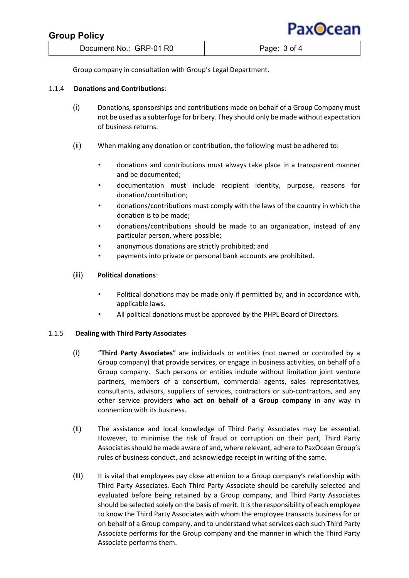|--|

Document No.: GRP-01 R0 Page: 3 of 4

Group company in consultation with Group's Legal Department.

## 1.1.4 **Donations and Contributions**:

- (i) Donations, sponsorships and contributions made on behalf of a Group Company must not be used as a subterfuge for bribery. They should only be made without expectation of business returns.
- (ii) When making any donation or contribution, the following must be adhered to:
	- donations and contributions must always take place in a transparent manner and be documented;
	- documentation must include recipient identity, purpose, reasons for donation/contribution;
	- donations/contributions must comply with the laws of the country in which the donation is to be made;
	- donations/contributions should be made to an organization, instead of any particular person, where possible;
	- anonymous donations are strictly prohibited; and
	- payments into private or personal bank accounts are prohibited.

## (iii) **Political donations**:

- Political donations may be made only if permitted by, and in accordance with, applicable laws.
- All political donations must be approved by the PHPL Board of Directors.

## 1.1.5 **Dealing with Third Party Associates**

- (i) "**Third Party Associates**" are individuals or entities (not owned or controlled by a Group company) that provide services, or engage in business activities, on behalf of a Group company. Such persons or entities include without limitation joint venture partners, members of a consortium, commercial agents, sales representatives, consultants, advisors, suppliers of services, contractors or sub-contractors, and any other service providers **who act on behalf of a Group company** in any way in connection with its business.
- (ii) The assistance and local knowledge of Third Party Associates may be essential. However, to minimise the risk of fraud or corruption on their part, Third Party Associates should be made aware of and, where relevant, adhere to PaxOcean Group's rules of business conduct, and acknowledge receipt in writing of the same.
- (iii) It is vital that employees pay close attention to a Group company's relationship with Third Party Associates. Each Third Party Associate should be carefully selected and evaluated before being retained by a Group company, and Third Party Associates should be selected solely on the basis of merit. It is the responsibility of each employee to know the Third Party Associates with whom the employee transacts business for or on behalf of a Group company, and to understand what services each such Third Party Associate performs for the Group company and the manner in which the Third Party Associate performs them.